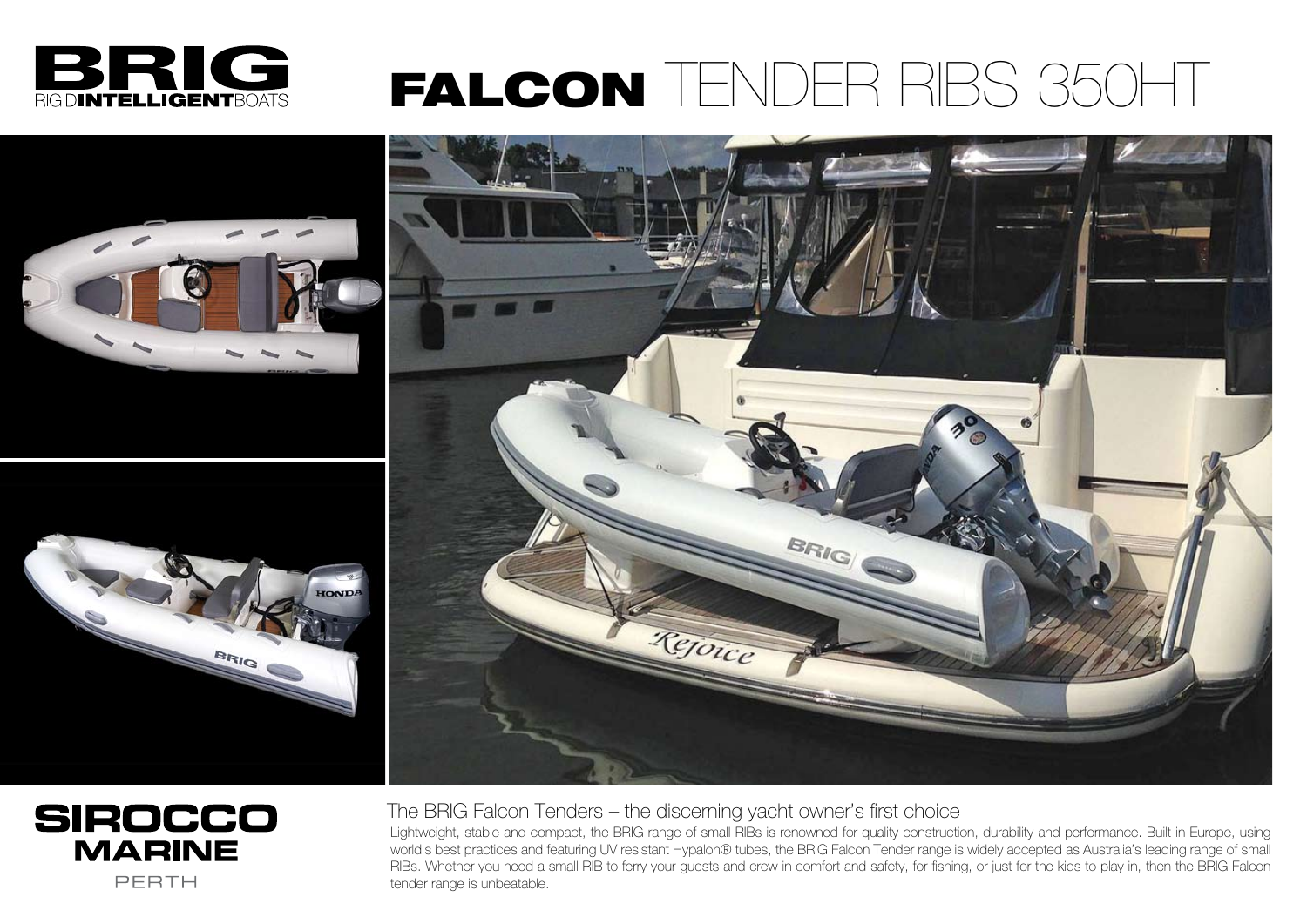The BRIG Falcon Tenders – the discerning yacht owner's first choice

Lightweight, stable and compact, the BRIG range of small RIBs is renowned for quality construction, durability and performance. Built in Europe, using world's best practices and featuring UV resistant Hypalon® tubes, the BRIG Falcon Tender range is widely accepted as Australia's leading range of small RIBs. Whether you need a small RIB to ferry your guests and crew in comfort and safety, for fishing, or just for the kids to play in, then the BRIG Falcon tender range is unbeatable.



## FALCON TENDER RIBS 350HT